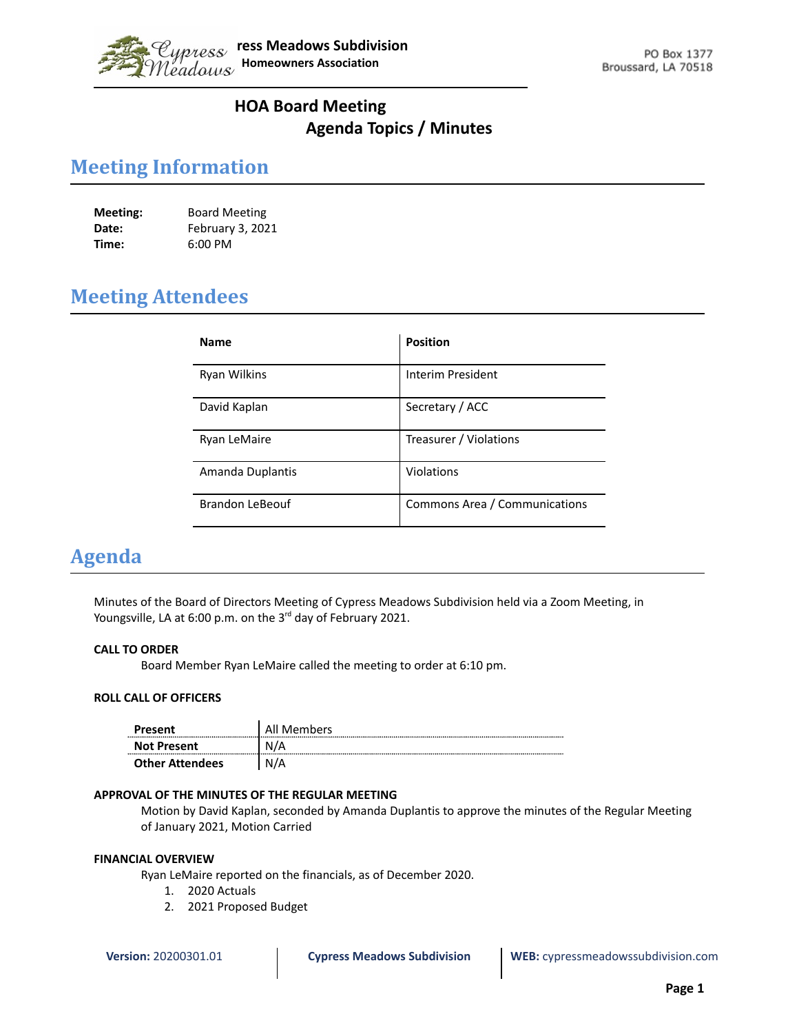

## **HOA Board Meeting Agenda Topics / Minutes**

# **Meeting Information**

| Meeting: | <b>Board Meeting</b> |
|----------|----------------------|
| Date:    | February 3, 2021     |
| Time:    | $6:00$ PM            |

# **Meeting Attendees**

| <b>Name</b>            | <b>Position</b>               |
|------------------------|-------------------------------|
| Ryan Wilkins           | Interim President             |
| David Kaplan           | Secretary / ACC               |
| Ryan LeMaire           | Treasurer / Violations        |
| Amanda Duplantis       | Violations                    |
| <b>Brandon LeBeouf</b> | Commons Area / Communications |

## **Agenda**

Minutes of the Board of Directors Meeting of Cypress Meadows Subdivision held via a Zoom Meeting, in Youngsville, LA at 6:00 p.m. on the 3<sup>rd</sup> day of February 2021.

## **CALL TO ORDER**

Board Member Ryan LeMaire called the meeting to order at 6:10 pm.

#### **ROLL CALL OF OFFICERS**

| Present                | All Members |
|------------------------|-------------|
| <b>Not Present</b>     | Ν<br>'/A    |
| <b>Other Attendees</b> | N/A         |

#### **APPROVAL OF THE MINUTES OF THE REGULAR MEETING**

Motion by David Kaplan, seconded by Amanda Duplantis to approve the minutes of the Regular Meeting of January 2021, Motion Carried

#### **FINANCIAL OVERVIEW**

Ryan LeMaire reported on the financials, as of December 2020.

- 1. 2020 Actuals
- 2. 2021 Proposed Budget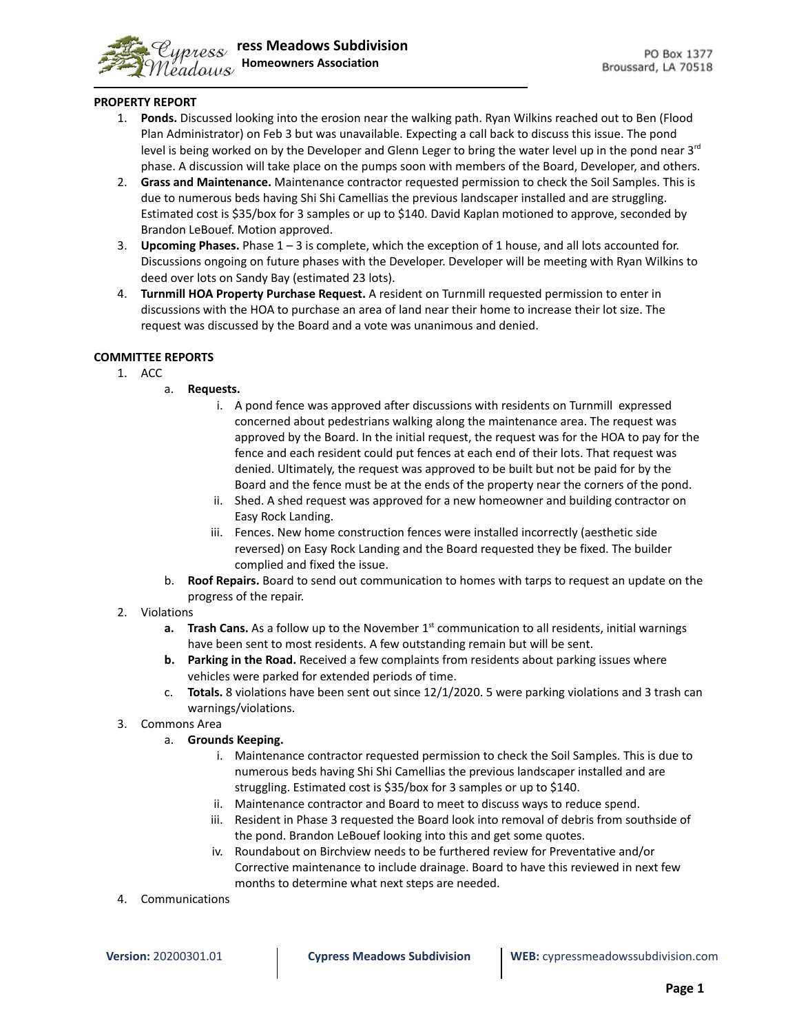

#### **PROPERTY REPORT**

- 1. **Ponds.** Discussed looking into the erosion near the walking path. Ryan Wilkins reached out to Ben (Flood Plan Administrator) on Feb 3 but was unavailable. Expecting a call back to discuss this issue. The pond level is being worked on by the Developer and Glenn Leger to bring the water level up in the pond near 3<sup>rd</sup> phase. A discussion will take place on the pumps soon with members of the Board, Developer, and others.
- 2. **Grass and Maintenance.** Maintenance contractor requested permission to check the Soil Samples. This is due to numerous beds having Shi Shi Camellias the previous landscaper installed and are struggling. Estimated cost is \$35/box for 3 samples or up to \$140. David Kaplan motioned to approve, seconded by Brandon LeBouef. Motion approved.
- 3. **Upcoming Phases.** Phase 1 3 is complete, which the exception of 1 house, and all lots accounted for. Discussions ongoing on future phases with the Developer. Developer will be meeting with Ryan Wilkins to deed over lots on Sandy Bay (estimated 23 lots).
- 4. **Turnmill HOA Property Purchase Request.** A resident on Turnmill requested permission to enter in discussions with the HOA to purchase an area of land near their home to increase their lot size. The request was discussed by the Board and a vote was unanimous and denied.

### **COMMITTEE REPORTS**

- 1. ACC
	- a. **Requests.**
		- i. A pond fence was approved after discussions with residents on Turnmill expressed concerned about pedestrians walking along the maintenance area. The request was approved by the Board. In the initial request, the request was for the HOA to pay for the fence and each resident could put fences at each end of their lots. That request was denied. Ultimately, the request was approved to be built but not be paid for by the Board and the fence must be at the ends of the property near the corners of the pond.
		- ii. Shed. A shed request was approved for a new homeowner and building contractor on Easy Rock Landing.
		- iii. Fences. New home construction fences were installed incorrectly (aesthetic side reversed) on Easy Rock Landing and the Board requested they be fixed. The builder complied and fixed the issue.
	- b. **Roof Repairs.** Board to send out communication to homes with tarps to request an update on the progress of the repair.
- 2. Violations
	- a. Trash Cans. As a follow up to the November 1<sup>st</sup> communication to all residents, initial warnings have been sent to most residents. A few outstanding remain but will be sent.
	- **b. Parking in the Road.** Received a few complaints from residents about parking issues where vehicles were parked for extended periods of time.
	- c. **Totals.** 8 violations have been sent out since 12/1/2020. 5 were parking violations and 3 trash can warnings/violations.
- 3. Commons Area
	- a. **Grounds Keeping.**
		- i. Maintenance contractor requested permission to check the Soil Samples. This is due to numerous beds having Shi Shi Camellias the previous landscaper installed and are struggling. Estimated cost is \$35/box for 3 samples or up to \$140.
		- ii. Maintenance contractor and Board to meet to discuss ways to reduce spend.
		- iii. Resident in Phase 3 requested the Board look into removal of debris from southside of the pond. Brandon LeBouef looking into this and get some quotes.
		- iv. Roundabout on Birchview needs to be furthered review for Preventative and/or Corrective maintenance to include drainage. Board to have this reviewed in next few months to determine what next steps are needed.
- 4. Communications